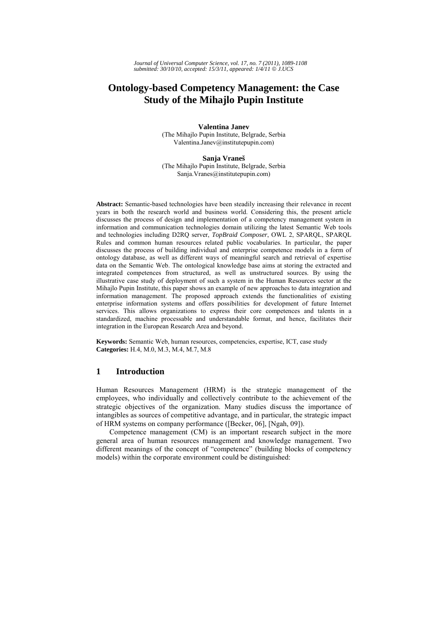# **Ontology-based Competency Management: the Case Study of the Mihajlo Pupin Institute**

**Valentina Janev**  (The Mihajlo Pupin Institute, Belgrade, Serbia Valentina.Janev@institutepupin.com)

**Sanja Vraneš**

(The Mihajlo Pupin Institute, Belgrade, Serbia Sanja.Vranes@institutepupin.com)

**Abstract:** Semantic-based technologies have been steadily increasing their relevance in recent years in both the research world and business world. Considering this, the present article discusses the process of design and implementation of a competency management system in information and communication technologies domain utilizing the latest Semantic Web tools and technologies including D2RQ server, *TopBraid Composer*, OWL 2, SPARQL, SPARQL Rules and common human resources related public vocabularies. In particular, the paper discusses the process of building individual and enterprise competence models in a form of ontology database, as well as different ways of meaningful search and retrieval of expertise data on the Semantic Web. The ontological knowledge base aims at storing the extracted and integrated competences from structured, as well as unstructured sources. By using the illustrative case study of deployment of such a system in the Human Resources sector at the Mihajlo Pupin Institute, this paper shows an example of new approaches to data integration and information management. The proposed approach extends the functionalities of existing enterprise information systems and offers possibilities for development of future Internet services. This allows organizations to express their core competences and talents in a standardized, machine processable and understandable format, and hence, facilitates their integration in the European Research Area and beyond.

**Keywords:** Semantic Web, human resources, competencies, expertise, ICT, case study **Categories:** H.4, M.0, M.3, M.4, M.7, M.8

### **1 Introduction**

Human Resources Management (HRM) is the strategic management of the employees, who individually and collectively contribute to the achievement of the strategic objectives of the organization. Many studies discuss the importance of intangibles as sources of competitive advantage, and in particular, the strategic impact of HRM systems on company performance ([Becker, 06], [Ngah, 09]).

Competence management (CM) is an important research subject in the more general area of human resources management and knowledge management. Two different meanings of the concept of "competence" (building blocks of competency models) within the corporate environment could be distinguished: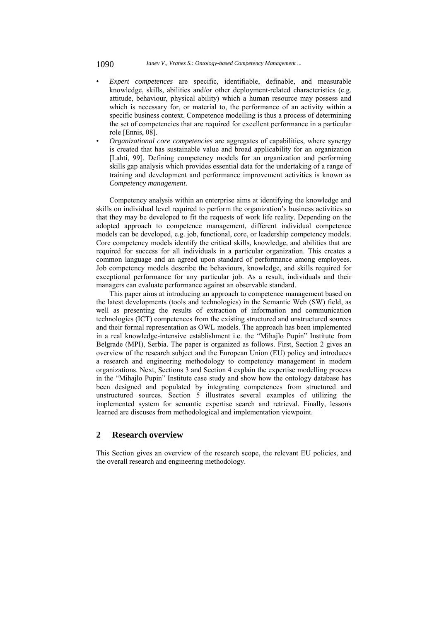- *Expert competences* are specific, identifiable, definable, and measurable knowledge, skills, abilities and/or other deployment-related characteristics (e.g. attitude, behaviour, physical ability) which a human resource may possess and which is necessary for, or material to, the performance of an activity within a specific business context. Competence modelling is thus a process of determining the set of competencies that are required for excellent performance in a particular role [Ennis, 08].
- *Organizational core competencies* are aggregates of capabilities, where synergy is created that has sustainable value and broad applicability for an organization [Lahti, 99]. Defining competency models for an organization and performing skills gap analysis which provides essential data for the undertaking of a range of training and development and performance improvement activities is known as *Competency management*.

Competency analysis within an enterprise aims at identifying the knowledge and skills on individual level required to perform the organization's business activities so that they may be developed to fit the requests of work life reality. Depending on the adopted approach to competence management, different individual competence models can be developed, e.g. job, functional, core, or leadership competency models. Core competency models identify the critical skills, knowledge, and abilities that are required for success for all individuals in a particular organization. This creates a common language and an agreed upon standard of performance among employees. Job competency models describe the behaviours, knowledge, and skills required for exceptional performance for any particular job. As a result, individuals and their managers can evaluate performance against an observable standard.

This paper aims at introducing an approach to competence management based on the latest developments (tools and technologies) in the Semantic Web (SW) field, as well as presenting the results of extraction of information and communication technologies (ICT) competences from the existing structured and unstructured sources and their formal representation as OWL models. The approach has been implemented in a real knowledge-intensive establishment i.e. the "Mihajlo Pupin" Institute from Belgrade (MPI), Serbia. The paper is organized as follows. First, Section 2 gives an overview of the research subject and the European Union (EU) policy and introduces a research and engineering methodology to competency management in modern organizations. Next, Sections 3 and Section 4 explain the expertise modelling process in the "Mihajlo Pupin" Institute case study and show how the ontology database has been designed and populated by integrating competences from structured and unstructured sources. Section 5 illustrates several examples of utilizing the implemented system for semantic expertise search and retrieval. Finally, lessons learned are discuses from methodological and implementation viewpoint.

### **2 Research overview**

This Section gives an overview of the research scope, the relevant EU policies, and the overall research and engineering methodology.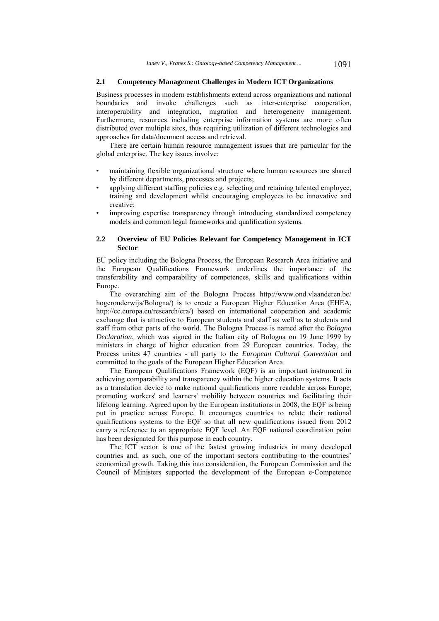#### **2.1 Competency Management Challenges in Modern ICT Organizations**

Business processes in modern establishments extend across organizations and national boundaries and invoke challenges such as inter-enterprise cooperation, interoperability and integration, migration and heterogeneity management. Furthermore, resources including enterprise information systems are more often distributed over multiple sites, thus requiring utilization of different technologies and approaches for data/document access and retrieval.

There are certain human resource management issues that are particular for the global enterprise. The key issues involve:

- maintaining flexible organizational structure where human resources are shared by different departments, processes and projects;
- applying different staffing policies e.g. selecting and retaining talented employee, training and development whilst encouraging employees to be innovative and creative;
- improving expertise transparency through introducing standardized competency models and common legal frameworks and qualification systems.

#### **2.2 Overview of EU Policies Relevant for Competency Management in ICT Sector**

EU policy including the Bologna Process, the European Research Area initiative and the European Qualifications Framework underlines the importance of the transferability and comparability of competences, skills and qualifications within Europe.

The overarching aim of the Bologna Process http://www.ond.vlaanderen.be/ hogeronderwijs/Bologna/) is to create a European Higher Education Area (EHEA, http://ec.europa.eu/research/era/) based on international cooperation and academic exchange that is attractive to European students and staff as well as to students and staff from other parts of the world. The Bologna Process is named after the *Bologna Declaration*, which was signed in the Italian city of Bologna on 19 June 1999 by ministers in charge of higher education from 29 European countries. Today, the Process unites 47 countries - all party to the *European Cultural Convention* and committed to the goals of the European Higher Education Area.

The European Qualifications Framework (EQF) is an important instrument in achieving comparability and transparency within the higher education systems. It acts as a translation device to make national qualifications more readable across Europe, promoting workers' and learners' mobility between countries and facilitating their lifelong learning. Agreed upon by the European institutions in 2008, the EQF is being put in practice across Europe. It encourages countries to relate their national qualifications systems to the EQF so that all new qualifications issued from 2012 carry a reference to an appropriate EQF level. An EQF national coordination point has been designated for this purpose in each country.

The ICT sector is one of the fastest growing industries in many developed countries and, as such, one of the important sectors contributing to the countries' economical growth. Taking this into consideration, the European Commission and the Council of Ministers supported the development of the European e-Competence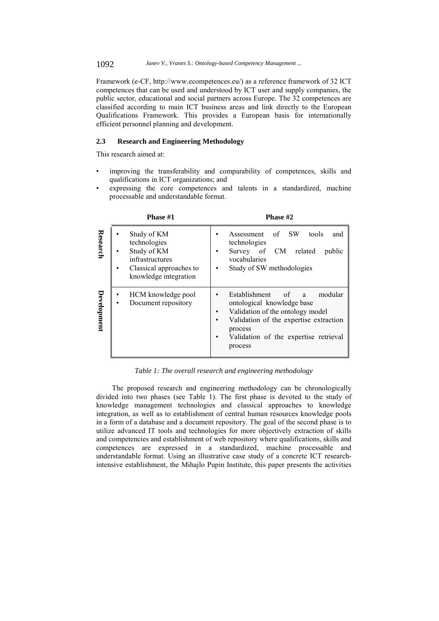1092 *Janev V., Vranes S.: Ontology-based Competency Management ...*

Framework (e-CF, http://www.ecompetences.eu/) as a reference framework of 32 ICT competences that can be used and understood by ICT user and supply companies, the public sector, educational and social partners across Europe. The 32 competences are classified according to main ICT business areas and link directly to the European Qualifications Framework. This provides a European basis for internationally efficient personnel planning and development.

### **2.3 Research and Engineering Methodology**

This research aimed at:

- improving the transferability and comparability of competences, skills and qualifications in ICT organizations; and
- expressing the core competences and talents in a standardized, machine processable and understandable format.

|             | Phase #1                                                                                                                 | Phase #2                                                                                                                                                                                                      |  |  |  |
|-------------|--------------------------------------------------------------------------------------------------------------------------|---------------------------------------------------------------------------------------------------------------------------------------------------------------------------------------------------------------|--|--|--|
| Research    | Study of KM<br>technologies<br>Study of KM<br><i>infrastructures</i><br>Classical approaches to<br>knowledge integration | <b>SW</b><br>Assessment of<br>tools<br>and<br>technologies<br>Survey of CM<br>related<br>public<br>vocabularies<br>Study of SW methodologies                                                                  |  |  |  |
| Development | HCM knowledge pool<br>Document repository                                                                                | Establishment of<br>modular<br>a -<br>ontological knowledge base<br>Validation of the ontology model<br>Validation of the expertise extraction<br>process<br>Validation of the expertise retrieval<br>process |  |  |  |

*Table 1: The overall research and engineering methodology* 

The proposed research and engineering methodology can be chronologically divided into two phases (see Table 1). The first phase is devoted to the study of knowledge management technologies and classical approaches to knowledge integration, as well as to establishment of central human resources knowledge pools in a form of a database and a document repository. The goal of the second phase is to utilize advanced IT tools and technologies for more objectively extraction of skills and competencies and establishment of web repository where qualifications, skills and competences are expressed in a standardized, machine processable and understandable format. Using an illustrative case study of a concrete ICT researchintensive establishment, the Mihajlo Pupin Institute, this paper presents the activities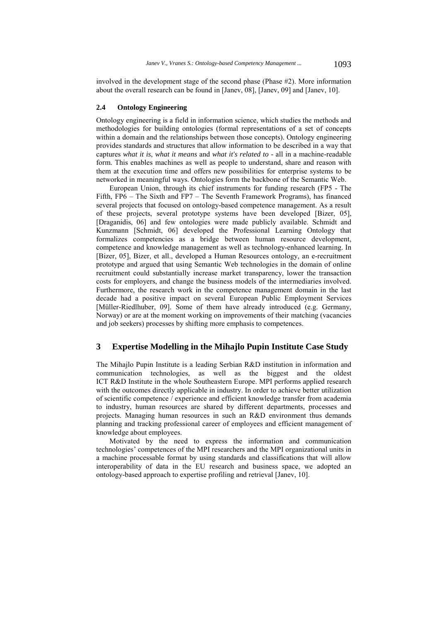involved in the development stage of the second phase (Phase #2). More information about the overall research can be found in [Janev, 08], [Janev, 09] and [Janev, 10].

#### **2.4 Ontology Engineering**

Ontology engineering is a field in information science, which studies the methods and methodologies for building ontologies (formal representations of a set of concepts within a domain and the relationships between those concepts). Ontology engineering provides standards and structures that allow information to be described in a way that captures *what it is*, *what it means* and *what it's related to* - all in a machine-readable form. This enables machines as well as people to understand, share and reason with them at the execution time and offers new possibilities for enterprise systems to be networked in meaningful ways. Ontologies form the backbone of the Semantic Web.

European Union, through its chief instruments for funding research (FP5 - The Fifth, FP6 – The Sixth and FP7 – The Seventh Framework Programs), has financed several projects that focused on ontology-based competence management. As a result of these projects, several prototype systems have been developed [Bizer, 05], [Draganidis, 06] and few ontologies were made publicly available. Schmidt and Kunzmann [Schmidt, 06] developed the Professional Learning Ontology that formalizes competencies as a bridge between human resource development, competence and knowledge management as well as technology-enhanced learning. In [Bizer, 05], Bizer, et all., developed a Human Resources ontology, an e-recruitment prototype and argued that using Semantic Web technologies in the domain of online recruitment could substantially increase market transparency, lower the transaction costs for employers, and change the business models of the intermediaries involved. Furthermore, the research work in the competence management domain in the last decade had a positive impact on several European Public Employment Services [Müller-Riedlhuber, 09]. Some of them have already introduced (e.g. Germany, Norway) or are at the moment working on improvements of their matching (vacancies and job seekers) processes by shifting more emphasis to competences.

### **3 Expertise Modelling in the Mihajlo Pupin Institute Case Study**

The Mihajlo Pupin Institute is a leading Serbian R&D institution in information and communication technologies, as well as the biggest and the oldest ICT R&D Institute in the whole Southeastern Europe. MPI performs applied research with the outcomes directly applicable in industry. In order to achieve better utilization of scientific competence / experience and efficient knowledge transfer from academia to industry, human resources are shared by different departments, processes and projects. Managing human resources in such an R&D environment thus demands planning and tracking professional career of employees and efficient management of knowledge about employees.

Motivated by the need to express the information and communication technologies' competences of the MPI researchers and the MPI organizational units in a machine processable format by using standards and classifications that will allow interoperability of data in the EU research and business space, we adopted an ontology-based approach to expertise profiling and retrieval [Janev, 10].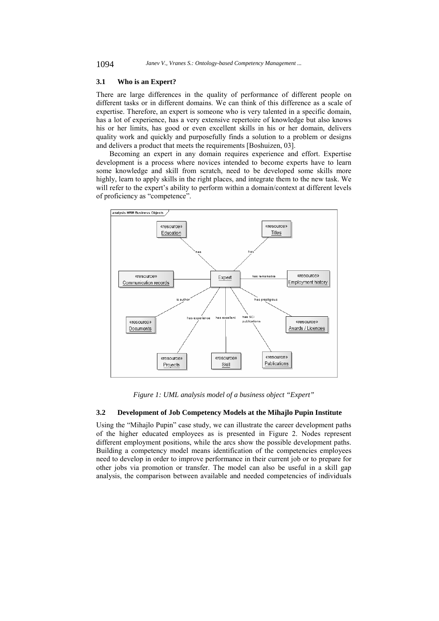#### **3.1 Who is an Expert?**

There are large differences in the quality of performance of different people on different tasks or in different domains. We can think of this difference as a scale of expertise. Therefore, an expert is someone who is very talented in a specific domain, has a lot of experience, has a very extensive repertoire of knowledge but also knows his or her limits, has good or even excellent skills in his or her domain, delivers quality work and quickly and purposefully finds a solution to a problem or designs and delivers a product that meets the requirements [Boshuizen, 03].

Becoming an expert in any domain requires experience and effort. Expertise development is a process where novices intended to become experts have to learn some knowledge and skill from scratch, need to be developed some skills more highly, learn to apply skills in the right places, and integrate them to the new task. We will refer to the expert's ability to perform within a domain/context at different levels of proficiency as "competence".



*Figure 1: UML analysis model of a business object "Expert"* 

### **3.2 Development of Job Competency Models at the Mihajlo Pupin Institute**

Using the "Mihajlo Pupin" case study, we can illustrate the career development paths of the higher educated employees as is presented in Figure 2. Nodes represent different employment positions, while the arcs show the possible development paths. Building a competency model means identification of the competencies employees need to develop in order to improve performance in their current job or to prepare for other jobs via promotion or transfer. The model can also be useful in a skill gap analysis, the comparison between available and needed competencies of individuals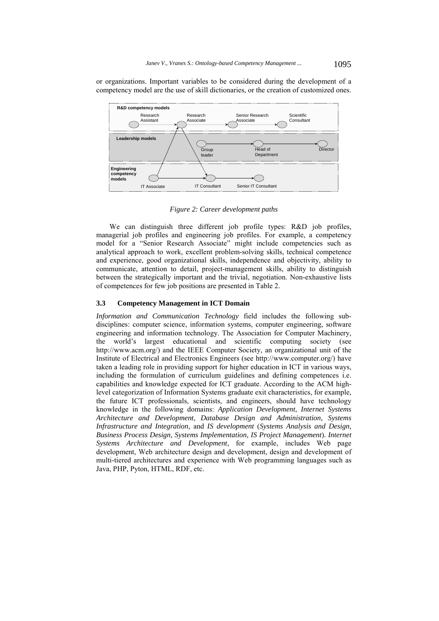or organizations. Important variables to be considered during the development of a competency model are the use of skill dictionaries, or the creation of customized ones.



*Figure 2: Career development paths* 

We can distinguish three different job profile types: R&D job profiles, managerial job profiles and engineering job profiles. For example, a competency model for a "Senior Research Associate" might include competencies such as analytical approach to work, excellent problem-solving skills, technical competence and experience, good organizational skills, independence and objectivity, ability to communicate, attention to detail, project-management skills, ability to distinguish between the strategically important and the trivial, negotiation. Non-exhaustive lists of competences for few job positions are presented in Table 2.

#### **3.3 Competency Management in ICT Domain**

*Information and Communication Technology* field includes the following subdisciplines: computer science, information systems, computer engineering, software engineering and information technology. The Association for Computer Machinery, the world's largest educational and scientific computing society (see http://www.acm.org/) and the IEEE Computer Society, an organizational unit of the Institute of Electrical and Electronics Engineers (see http://www.computer.org/) have taken a leading role in providing support for higher education in ICT in various ways, including the formulation of curriculum guidelines and defining competences i.e. capabilities and knowledge expected for ICT graduate. According to the ACM highlevel categorization of Information Systems graduate exit characteristics, for example, the future ICT professionals, scientists, and engineers, should have technology knowledge in the following domains: *Application Development*, *Internet Systems Architecture and Development*, *Database Design and Administration*, *Systems Infrastructure and Integration,* and *IS development* (*Systems Analysis and Design, Business Process Design, Systems Implementation, IS Project Management*)*. Internet Systems Architecture and Development*, for example, includes Web page development, Web architecture design and development, design and development of multi-tiered architectures and experience with Web programming languages such as Java, PHP, Pyton, HTML, RDF, etc.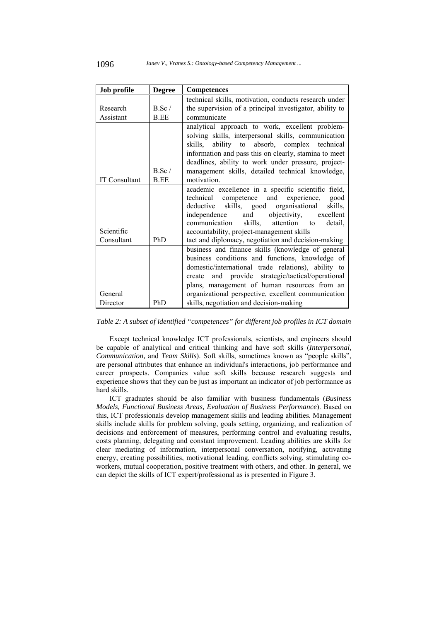| Job profile           | <b>Degree</b> | <b>Competences</b>                                      |  |  |
|-----------------------|---------------|---------------------------------------------------------|--|--|
|                       |               | technical skills, motivation, conducts research under   |  |  |
| $B.$ Sc /<br>Research |               | the supervision of a principal investigator, ability to |  |  |
| Assistant             | B.EE          | communicate                                             |  |  |
|                       |               | analytical approach to work, excellent problem-         |  |  |
|                       |               | solving skills, interpersonal skills, communication     |  |  |
|                       |               | skills, ability to absorb, complex technical            |  |  |
|                       |               | information and pass this on clearly, stamina to meet   |  |  |
|                       |               | deadlines, ability to work under pressure, project-     |  |  |
|                       | B.Sc/         | management skills, detailed technical knowledge,        |  |  |
| <b>IT Consultant</b>  | <b>B.EE</b>   | motivation.                                             |  |  |
|                       |               | academic excellence in a specific scientific field,     |  |  |
|                       |               | technical competence and<br>experience,<br>good         |  |  |
|                       |               | skills, good organisational<br>skills,<br>deductive     |  |  |
|                       |               | objectivity,<br>and<br>excellent<br>independence        |  |  |
|                       |               | communication<br>skills,<br>attention<br>detail.<br>to  |  |  |
| Scientific            |               | accountability, project-management skills               |  |  |
| Consultant            | <b>PhD</b>    | tact and diplomacy, negotiation and decision-making     |  |  |
|                       |               | business and finance skills (knowledge of general       |  |  |
|                       |               | business conditions and functions, knowledge of         |  |  |
|                       |               | domestic/international trade relations), ability to     |  |  |
|                       |               | create and provide strategic/tactical/operational       |  |  |
|                       |               | plans, management of human resources from an            |  |  |
| General               |               | organizational perspective, excellent communication     |  |  |
| Director              | PhD           | skills, negotiation and decision-making                 |  |  |

#### *Table 2: A subset of identified "competences" for different job profiles in ICT domain*

Except technical knowledge ICT professionals, scientists, and engineers should be capable of analytical and critical thinking and have soft skills (*Interpersonal, Communication,* and *Team Skills*). Soft skills, sometimes known as "people skills", are personal attributes that enhance an individual's interactions, job performance and career prospects. Companies value soft skills because research suggests and experience shows that they can be just as important an indicator of job performance as hard skills.

ICT graduates should be also familiar with business fundamentals (*Business Models, Functional Business Areas, Evaluation of Business Performance*). Based on this, ICT professionals develop management skills and leading abilities. Management skills include skills for problem solving, goals setting, organizing, and realization of decisions and enforcement of measures, performing control and evaluating results, costs planning, delegating and constant improvement. Leading abilities are skills for clear mediating of information, interpersonal conversation, notifying, activating energy, creating possibilities, motivational leading, conflicts solving, stimulating coworkers, mutual cooperation, positive treatment with others, and other. In general, we can depict the skills of ICT expert/professional as is presented in Figure 3.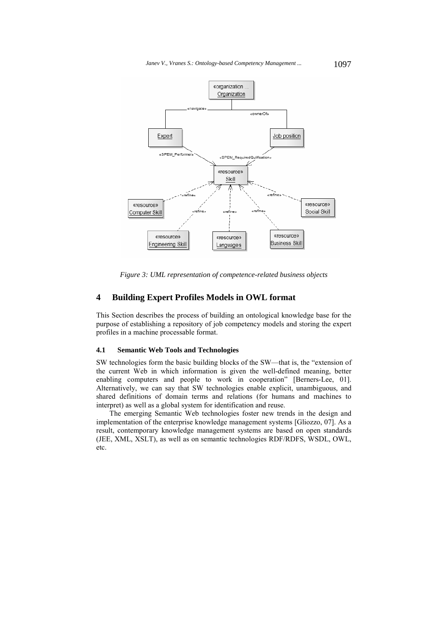

*Figure 3: UML representation of competence-related business objects* 

### **4 Building Expert Profiles Models in OWL format**

This Section describes the process of building an ontological knowledge base for the purpose of establishing a repository of job competency models and storing the expert profiles in a machine processable format.

#### **4.1 Semantic Web Tools and Technologies**

SW technologies form the basic building blocks of the SW—that is, the "extension of the current Web in which information is given the well-defined meaning, better enabling computers and people to work in cooperation" [Berners-Lee, 01]. Alternatively, we can say that SW technologies enable explicit, unambiguous, and shared definitions of domain terms and relations (for humans and machines to interpret) as well as a global system for identification and reuse.

The emerging Semantic Web technologies foster new trends in the design and implementation of the enterprise knowledge management systems [Gliozzo, 07]. As a result, contemporary knowledge management systems are based on open standards (JEE, XML, XSLT), as well as on semantic technologies RDF/RDFS, WSDL, OWL, etc.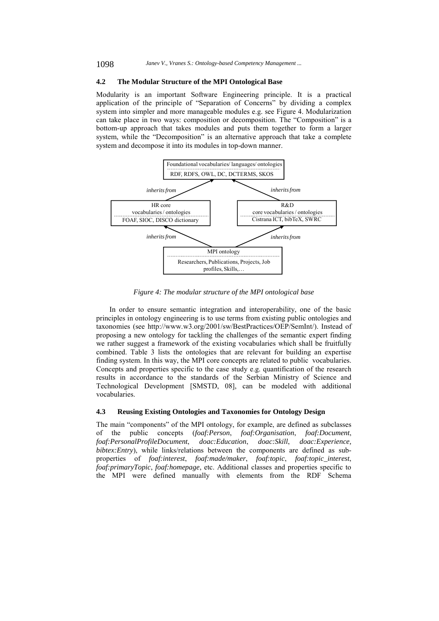### **4.2 The Modular Structure of the MPI Ontological Base**

Modularity is an important Software Engineering principle. It is a practical application of the principle of "Separation of Concerns" by dividing a complex system into simpler and more manageable modules e.g. see Figure 4. Modularization can take place in two ways: composition or decomposition. The "Composition" is a bottom-up approach that takes modules and puts them together to form a larger system, while the "Decomposition" is an alternative approach that take a complete system and decompose it into its modules in top-down manner.



*Figure 4: The modular structure of the MPI ontological base* 

In order to ensure semantic integration and interoperability, one of the basic principles in ontology engineering is to use terms from existing public ontologies and taxonomies (see http://www.w3.org/2001/sw/BestPractices/OEP/SemInt/). Instead of proposing a new ontology for tackling the challenges of the semantic expert finding we rather suggest a framework of the existing vocabularies which shall be fruitfully combined. Table 3 lists the ontologies that are relevant for building an expertise finding system. In this way, the MPI core concepts are related to public vocabularies. Concepts and properties specific to the case study e.g. quantification of the research results in accordance to the standards of the Serbian Ministry of Science and Technological Development [SMSTD, 08], can be modeled with additional vocabularies.

#### **4.3 Reusing Existing Ontologies and Taxonomies for Ontology Design**

The main "components" of the MPI ontology, for example, are defined as subclasses of the public concepts (*foaf:Person*, *foaf:Organisation*, *foaf:Document*, *foaf:PersonalProfileDocument*, *doac:Education*, *doac:Skill*, *doac:Experience, bibtex: Entry*), while links/relations between the components are defined as subproperties of *foaf:interest*, *foaf:made/maker*, *foaf:topic*, *foaf:topic\_interest*, *foaf:primaryTopic*, *foaf:homepage*, etc. Additional classes and properties specific to the MPI were defined manually with elements from the RDF Schema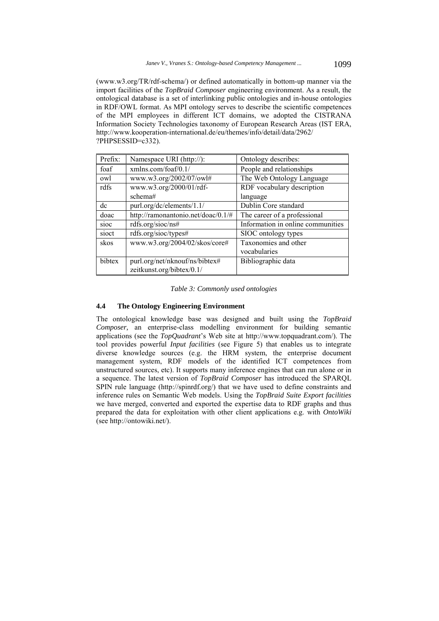(www.w3.org/TR/rdf-schema/) or defined automatically in bottom-up manner via the import facilities of the *TopBraid Composer* engineering environment. As a result, the ontological database is a set of interlinking public ontologies and in-house ontologies in RDF/OWL format. As MPI ontology serves to describe the scientific competences of the MPI employees in different ICT domains, we adopted the CISTRANA Information Society Technologies taxonomy of European Research Areas (IST ERA, http://www.kooperation-international.de/eu/themes/info/detail/data/2962/ ?PHPSESSID=c332).

| Prefix: | Namespace URI (http://):           | Ontology describes:               |
|---------|------------------------------------|-----------------------------------|
| foaf    | xmlns.com/foaf/0.1/                | People and relationships          |
| owl     | www.w3.org/2002/07/owl#            | The Web Ontology Language         |
| rdfs    | www.w3.org/2000/01/rdf-            | RDF vocabulary description        |
|         | schema#                            | language                          |
| dc      | purl.org/dc/elements/1.1/          | Dublin Core standard              |
| doac    | http://ramonantonio.net/doac/0.1/# | The career of a professional      |
| sioc    | rdfs.org/sioc/ns#                  | Information in online communities |
| sioct   | rdfs.org/sioc/types#               | SIOC ontology types               |
| skos    | www.w3.org/2004/02/skos/core#      | Taxonomies and other              |
|         |                                    | vocabularies                      |
| bibtex  | purl.org/net/nknouf/ns/bibtex#     | Bibliographic data                |
|         | zeitkunst.org/bibtex/0.1/          |                                   |

*Table 3: Commonly used ontologies* 

### **4.4 The Ontology Engineering Environment**

The ontological knowledge base was designed and built using the *TopBraid Composer,* an enterprise-class modelling environment for building semantic applications (see the *TopQuadrant*'s Web site at http://www.topquadrant.com/). The tool provides powerful *Input facilities* (see Figure 5) that enables us to integrate diverse knowledge sources (e.g. the HRM system, the enterprise document management system, RDF models of the identified ICT competences from unstructured sources, etc). It supports many inference engines that can run alone or in a sequence. The latest version of *TopBraid Composer* has introduced the SPARQL SPIN rule language (http://spinrdf.org/) that we have used to define constraints and inference rules on Semantic Web models. Using the *TopBraid Suite Export facilities*  we have merged, converted and exported the expertise data to RDF graphs and thus prepared the data for exploitation with other client applications e.g. with *OntoWiki*  (see http://ontowiki.net/).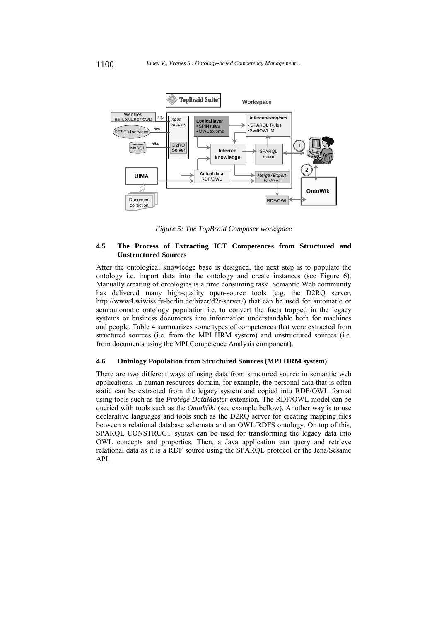

*Figure 5: The TopBraid Composer workspace* 

### **4.5 The Process of Extracting ICT Competences from Structured and Unstructured Sources**

After the ontological knowledge base is designed, the next step is to populate the ontology i.e. import data into the ontology and create instances (see Figure 6). Manually creating of ontologies is a time consuming task. Semantic Web community has delivered many high-quality open-source tools (e.g. the D2RQ server, http://www4.wiwiss.fu-berlin.de/bizer/d2r-server/) that can be used for automatic or semiautomatic ontology population i.e. to convert the facts trapped in the legacy systems or business documents into information understandable both for machines and people. Table 4 summarizes some types of competences that were extracted from structured sources (i.e. from the MPI HRM system) and unstructured sources (i.e. from documents using the MPI Competence Analysis component).

#### **4.6 Ontology Population from Structured Sources (MPI HRM system)**

There are two different ways of using data from structured source in semantic web applications. In human resources domain, for example, the personal data that is often static can be extracted from the legacy system and copied into RDF/OWL format using tools such as the *Protégé DataMaster* extension. The RDF/OWL model can be queried with tools such as the *OntoWiki* (see example bellow). Another way is to use declarative languages and tools such as the D2RQ server for creating mapping files between a relational database schemata and an OWL/RDFS ontology. On top of this, SPARQL CONSTRUCT syntax can be used for transforming the legacy data into OWL concepts and properties. Then, a Java application can query and retrieve relational data as it is a RDF source using the SPARQL protocol or the Jena/Sesame API.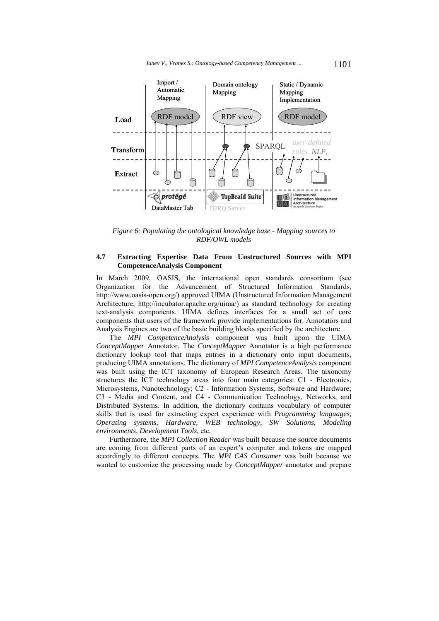

*Figure 6: Populating the ontological knowledge base - Mapping sources to RDF/OWL models* 

#### **4.7 Extracting Expertise Data From Unstructured Sources with MPI CompetenceAnalysis Component**

In March 2009, OASIS, the international open standards consortium (see Organization for the Advancement of Structured Information Standards, http://www.oasis-open.org/) approved UIMA (Unstructured Information Management Architecture, http://incubator.apache.org/uima/) as standard technology for creating text-analysis components. UIMA defines interfaces for a small set of core components that users of the framework provide implementations for. Annotators and Analysis Engines are two of the basic building blocks specified by the architecture.

The *MPI CompetenceAnalysis* component was built upon the UIMA *ConceptMapper* Annotator. The *ConceptMapper* Annotator is a high performance dictionary lookup tool that maps entries in a dictionary onto input documents, producing UIMA annotations. The dictionary of *MPI CompetenceAnalysis* component was built using the ICT taxonomy of European Research Areas. The taxonomy structures the ICT technology areas into four main categories: C1 - Electronics, Microsystems, Nanotechnology; C2 - Information Systems, Software and Hardware; C3 - Media and Content, and C4 - Communication Technology, Networks, and Distributed Systems. In addition, the dictionary contains vocabulary of computer skills that is used for extracting expert experience with *Programming languages, Operating systems, Hardware, WEB technology, SW Solutions, Modeling environments, Development Tools,* etc*.* 

Furthermore, the *MPI Collection Reader* was built because the source documents are coming from different parts of an expert's computer and tokens are mapped accordingly to different concepts. The *MPI CAS Consumer* was built because we wanted to customize the processing made by *ConceptMapper* annotator and prepare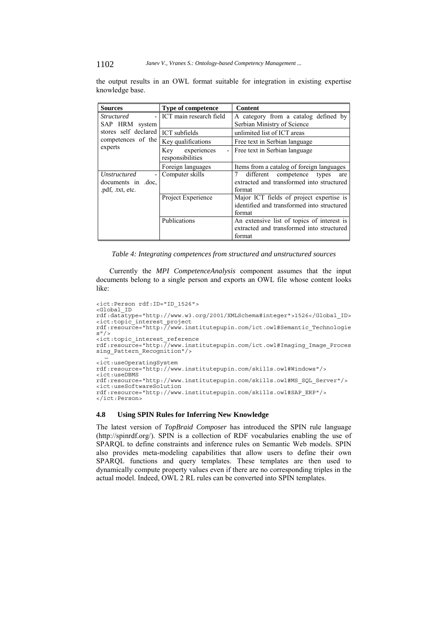1102 *Janev V., Vranes S.: Ontology-based Competency Management ...*

| <b>Sources</b>                                                          | <b>Type of competence</b>                                       | <b>Content</b>                                                                                    |  |  |  |
|-------------------------------------------------------------------------|-----------------------------------------------------------------|---------------------------------------------------------------------------------------------------|--|--|--|
| <i>Structured</i><br>$\overline{\phantom{0}}$                           | ICT main research field<br>A category from a catalog defined by |                                                                                                   |  |  |  |
| SAP HRM system                                                          |                                                                 | Serbian Ministry of Science                                                                       |  |  |  |
| stores self declared                                                    | ICT subfields                                                   | unlimited list of ICT areas                                                                       |  |  |  |
| competences of the                                                      | Key qualifications                                              | Free text in Serbian language                                                                     |  |  |  |
| experts                                                                 | experiences<br>Key<br>responsibilities                          | - Free text in Serbian language                                                                   |  |  |  |
|                                                                         | Foreign languages                                               | Items from a catalog of foreign languages                                                         |  |  |  |
| Unstructured<br>$\overline{a}$<br>documents in doc.<br>.pdf, .txt, etc. | Computer skills                                                 | different<br>competence types<br>are<br>extracted and transformed into structured<br>format       |  |  |  |
|                                                                         | Project Experience                                              | Major ICT fields of project expertise is<br>identified and transformed into structured<br>format  |  |  |  |
|                                                                         | Publications                                                    | An extensive list of topics of interest is<br>extracted and transformed into structured<br>format |  |  |  |

the output results in an OWL format suitable for integration in existing expertise knowledge base.

*Table 4: Integrating competences from structured and unstructured sources* 

Currently the *MPI CompetenceAnalysis* component assumes that the input documents belong to a single person and exports an OWL file whose content looks like:

```
<ict:Person rdf:ID="ID_1526"> 
<Global_ID 
rdf:datatype="http://www.w3.org/2001/XMLSchema#integer">1526</Global_ID> 
<ict:topic_interest_project 
rdf:resource="http://www.institutepupin.com/ict.owl#Semantic_Technologie
s''/>
<ict:topic_interest_reference 
rdf:resource="http://www.institutepupin.com/ict.owl#Imaging_Image_Proces
sing_Pattern_Recognition"/> 
… <ict:useOperatingSystem 
rdf:resource="http://www.institutepupin.com/skills.owl#Windows"/> 
<ict:useDBMS 
rdf:resource="http://www.institutepupin.com/skills.owl#MS_SQL_Server"/> 
<ict:useSoftwareSolution 
rdf:resource="http://www.institutepupin.com/skills.owl#SAP_ERP"/> 
</ict:Person>
```
### **4.8 Using SPIN Rules for Inferring New Knowledge**

The latest version of *TopBraid Composer* has introduced the SPIN rule language (http://spinrdf.org/). SPIN is a collection of RDF vocabularies enabling the use of SPARQL to define constraints and inference rules on Semantic Web models. SPIN also provides meta-modeling capabilities that allow users to define their own SPARQL functions and query templates. These templates are then used to dynamically compute property values even if there are no corresponding triples in the actual model. Indeed, OWL 2 RL rules can be converted into SPIN templates.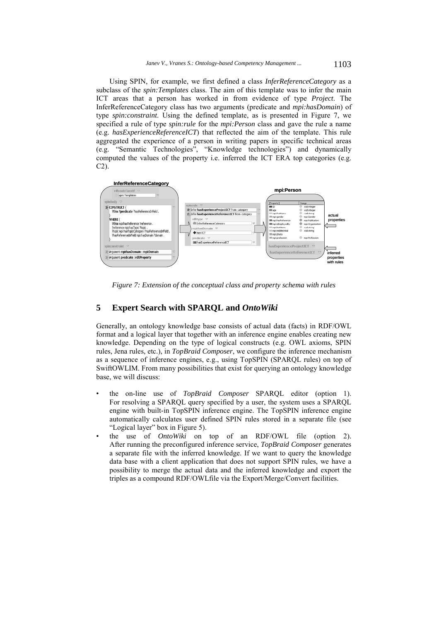Using SPIN, for example, we first defined a class *InferReferenceCategory* as a subclass of the *spin:Templates* class. The aim of this template was to infer the main ICT areas that a person has worked in from evidence of type *Project*. The InferReferenceCategory class has two arguments (predicate and *mpi:hasDomain*) of type *spin:constraint*. Using the defined template, as is presented in Figure 7, we specified a rule of type *spin:rule* for the *mpi:Person* class and gave the rule a name (e.g. *hasExperienceReferenceICT*) that reflected the aim of the template. This rule aggregated the experience of a person in writing papers in specific technical areas (e.g. "Semantic Technologies", "Knowledge technologies") and dynamically computed the values of the property i.e. inferred the ICT ERA top categories (e.g. C2).



*Figure 7: Extension of the conceptual class and property schema with rules* 

### **5 Expert Search with SPARQL and** *OntoWiki*

Generally, an ontology knowledge base consists of actual data (facts) in RDF/OWL format and a logical layer that together with an inference engine enables creating new knowledge. Depending on the type of logical constructs (e.g. OWL axioms, SPIN rules, Jena rules, etc.), in *TopBraid Composer*, we configure the inference mechanism as a sequence of inference engines, e.g., using TopSPIN (SPARQL rules) on top of SwiftOWLIM. From many possibilities that exist for querying an ontology knowledge base, we will discuss:

- the on-line use of *TopBraid Composer* SPARQL editor (option 1). For resolving a SPARQL query specified by a user, the system uses a SPARQL engine with built-in TopSPIN inference engine. The TopSPIN inference engine automatically calculates user defined SPIN rules stored in a separate file (see "Logical layer" box in Figure 5).
- the use of *OntoWiki* on top of an RDF/OWL file (option 2). After running the preconfigured inference service, *TopBraid Composer* generates a separate file with the inferred knowledge. If we want to query the knowledge data base with a client application that does not support SPIN rules, we have a possibility to merge the actual data and the inferred knowledge and export the triples as a compound RDF/OWLfile via the Export/Merge/Convert facilities.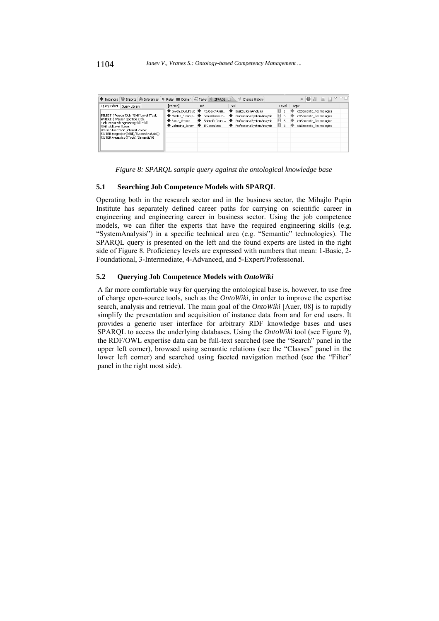| Imports 6 Inferences<br>Instances                                         | Rules   Domain   2 Tasks              | SPAROL 23                     | Change History                                                |       | $\bullet$ . Here<br>$\nabla$ $=$ $\Box$<br>⋗ |
|---------------------------------------------------------------------------|---------------------------------------|-------------------------------|---------------------------------------------------------------|-------|----------------------------------------------|
| Query Editor<br>Query Library                                             | [Person]                              | <b>Job</b>                    | Skill                                                         | Level | Topic                                        |
|                                                                           |                                       | Jovan Dudukovic ResearchAssis | BasicSystemAnalysis                                           | ш     | ict:Semantic Technologies                    |
| SELECT ?Person ?Job ?Skill ?Level ?Topic                                  |                                       |                               | ◆ Mladen Stanoie ◆ SeniorResearc ◆ ProfessionalSystemAnalysis | п     | ict:Semantic Technologies                    |
| WHERE { ?Person :jobTitle ?Job.<br>?Job :reguiredEngineeringSkill ?Skill. | $\blacklozenge$ Sania Vranes          | ScientificCoun                | ProfessionalSystemAnalysis                                    | П     | ict:Semantic Technologies                    |
| ?Skill :skillLevel ?Level.                                                | $\blacktriangleright$ Valentina Janev | ITConsultant                  | ProfessionalSystemAnalysis                                    | ш     | ict:Semantic Technologies                    |
| ?Person foaf:topic_interest ?Topic.                                       |                                       |                               |                                                               |       |                                              |
| FILTER (regex(str(?Skill),'SystemAnalysis'))                              |                                       |                               |                                                               |       |                                              |
| FILTER (regex(str(?Topic),'Semantic'))}                                   |                                       |                               |                                                               |       |                                              |
|                                                                           |                                       |                               |                                                               |       |                                              |
|                                                                           |                                       |                               |                                                               |       |                                              |

*Figure 8: SPARQL sample query against the ontological knowledge base* 

#### **5.1 Searching Job Competence Models with SPARQL**

Operating both in the research sector and in the business sector, the Mihajlo Pupin Institute has separately defined career paths for carrying on scientific career in engineering and engineering career in business sector. Using the job competence models, we can filter the experts that have the required engineering skills (e.g. "SystemAnalysis") in a specific technical area (e.g. "Semantic" technologies). The SPARQL query is presented on the left and the found experts are listed in the right side of Figure 8. Proficiency levels are expressed with numbers that mean: 1-Basic, 2- Foundational, 3-Intermediate, 4-Advanced, and 5-Expert/Professional.

#### **5.2 Querying Job Competence Models with** *OntoWiki*

A far more comfortable way for querying the ontological base is, however, to use free of charge open-source tools, such as the *OntoWiki*, in order to improve the expertise search, analysis and retrieval. The main goal of the *OntoWiki* [Auer, 08] is to rapidly simplify the presentation and acquisition of instance data from and for end users. It provides a generic user interface for arbitrary RDF knowledge bases and uses SPARQL to access the underlying databases. Using the *OntoWiki* tool (see Figure 9), the RDF/OWL expertise data can be full-text searched (see the "Search" panel in the upper left corner), browsed using semantic relations (see the "Classes" panel in the lower left corner) and searched using faceted navigation method (see the "Filter" panel in the right most side).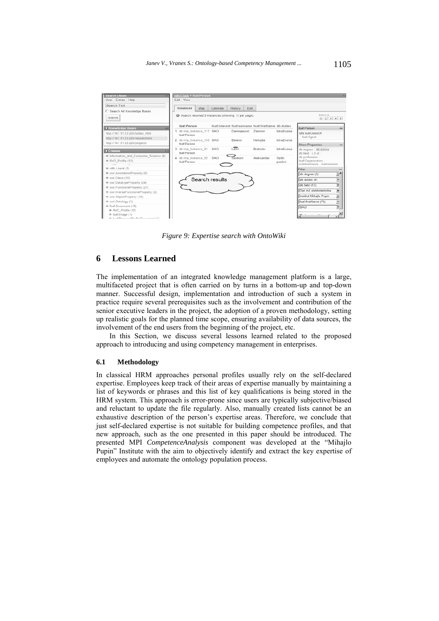

*Figure 9: Expertise search with OntoWiki* 

### **6 Lessons Learned**

The implementation of an integrated knowledge management platform is a large, multifaceted project that is often carried on by turns in a bottom-up and top-down manner. Successful design, implementation and introduction of such a system in practice require several prerequisites such as the involvement and contribution of the senior executive leaders in the project, the adoption of a proven methodology, setting up realistic goals for the planned time scope, ensuring availability of data sources, the involvement of the end users from the beginning of the project, etc.

In this Section, we discuss several lessons learned related to the proposed approach to introducing and using competency management in enterprises.

#### **6.1 Methodology**

In classical HRM approaches personal profiles usually rely on the self-declared expertise. Employees keep track of their areas of expertise manually by maintaining a list of keywords or phrases and this list of key qualifications is being stored in the HRM system. This approach is error-prone since users are typically subjective/biased and reluctant to update the file regularly. Also, manually created lists cannot be an exhaustive description of the person's expertise areas. Therefore, we conclude that just self-declared expertise is not suitable for building competence profiles, and that new approach, such as the one presented in this paper should be introduced. The presented MPI *CompetenceAnalysis* component was developed at the "Mihajlo Pupin" Institute with the aim to objectively identify and extract the key expertise of employees and automate the ontology population process.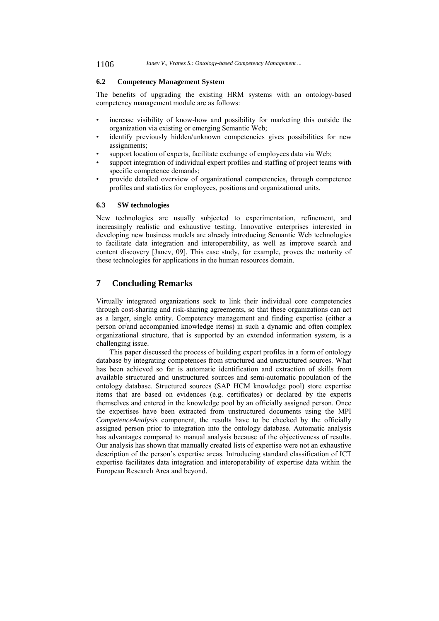#### **6.2 Competency Management System**

The benefits of upgrading the existing HRM systems with an ontology-based competency management module are as follows:

- increase visibility of know-how and possibility for marketing this outside the organization via existing or emerging Semantic Web;
- identify previously hidden/unknown competencies gives possibilities for new assignments;
- support location of experts, facilitate exchange of employees data via Web;
- support integration of individual expert profiles and staffing of project teams with specific competence demands;
- provide detailed overview of organizational competencies, through competence profiles and statistics for employees, positions and organizational units.

#### **6.3 SW technologies**

New technologies are usually subjected to experimentation, refinement, and increasingly realistic and exhaustive testing. Innovative enterprises interested in developing new business models are already introducing Semantic Web technologies to facilitate data integration and interoperability, as well as improve search and content discovery [Janev, 09]. This case study, for example, proves the maturity of these technologies for applications in the human resources domain.

## **7 Concluding Remarks**

Virtually integrated organizations seek to link their individual core competencies through cost-sharing and risk-sharing agreements, so that these organizations can act as a larger, single entity. Competency management and finding expertise (either a person or/and accompanied knowledge items) in such a dynamic and often complex organizational structure, that is supported by an extended information system, is a challenging issue.

This paper discussed the process of building expert profiles in a form of ontology database by integrating competences from structured and unstructured sources. What has been achieved so far is automatic identification and extraction of skills from available structured and unstructured sources and semi-automatic population of the ontology database. Structured sources (SAP HCM knowledge pool) store expertise items that are based on evidences (e.g. certificates) or declared by the experts themselves and entered in the knowledge pool by an officially assigned person. Once the expertises have been extracted from unstructured documents using the MPI *CompetenceAnalysis* component, the results have to be checked by the officially assigned person prior to integration into the ontology database. Automatic analysis has advantages compared to manual analysis because of the objectiveness of results. Our analysis has shown that manually created lists of expertise were not an exhaustive description of the person's expertise areas. Introducing standard classification of ICT expertise facilitates data integration and interoperability of expertise data within the European Research Area and beyond.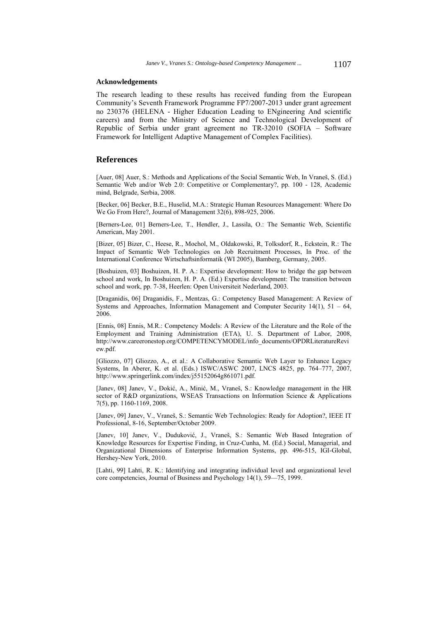#### **Acknowledgements**

The research leading to these results has received funding from the European Community's Seventh Framework Programme FP7/2007-2013 under grant agreement no 230376 (HELENA - Higher Education Leading to ENgineering And scientific careers) and from the Ministry of Science and Technological Development of Republic of Serbia under grant agreement no TR-32010 (SOFIA – Software Framework for Intelligent Adaptive Management of Complex Facilities).

### **References**

[Auer, 08] Auer, S.: Methods and Applications of the Social Semantic Web, In Vraneš, S. (Ed.) Semantic Web and/or Web 2.0: Competitive or Complementary?, pp. 100 - 128, Academic mind, Belgrade, Serbia, 2008.

[Becker, 06] Becker, B.E., Huselid, M.A.: Strategic Human Resources Management: Where Do We Go From Here?, Journal of Management 32(6), 898-925, 2006.

[Berners-Lee, 01] Berners-Lee, T., Hendler, J., Lassila, O.: The Semantic Web, Scientific American, May 2001.

[Bizer, 05] Bizer, C., Heese, R., Mochol, M., Oldakowski, R, Tolksdorf, R., Eckstein, R.: The Impact of Semantic Web Technologies on Job Recruitment Processes, In Proc. of the International Conference Wirtschaftsinformatik (WI 2005), Bamberg, Germany, 2005.

[Boshuizen, 03] Boshuizen, H. P. A.: Expertise development: How to bridge the gap between school and work, In Boshuizen, H. P. A. (Ed.) Expertise development: The transition between school and work, pp. 7-38, Heerlen: Open Universiteit Nederland, 2003.

[Draganidis, 06] Draganidis, F., Mentzas, G.: Competency Based Management: A Review of Systems and Approaches, Information Management and Computer Security  $14(1)$ ,  $51 - 64$ , 2006.

[Ennis, 08] Ennis, M.R.: Competency Models: A Review of the Literature and the Role of the Employment and Training Administration (ETA), U. S. Department of Labor, 2008, http://www.careeronestop.org/COMPETENCYMODEL/info\_documents/OPDRLiteratureRevi ew.pdf.

[Gliozzo, 07] Gliozzo, A., et al.: A Collaborative Semantic Web Layer to Enhance Legacy Systems, In Aberer, K. et al. (Eds.) ISWC/ASWC 2007, LNCS 4825, pp. 764–777, 2007, http://www.springerlink.com/index/j55152064g861071.pdf.

[Janev, 08] Janev, V., Đokić, A., Minić, M., Vraneš, S.: Knowledge management in the HR sector of R&D organizations, WSEAS Transactions on Information Science & Applications 7(5), pp. 1160-1169, 2008.

[Janev, 09] Janev, V., Vraneš, S.: Semantic Web Technologies: Ready for Adoption?, IEEE IT Professional, 8-16, September/October 2009.

[Janev, 10] Janev, V., Duduković, J., Vraneš, S.: Semantic Web Based Integration of Knowledge Resources for Expertise Finding, in Cruz-Cunha, M. (Ed.) Social, Managerial, and Organizational Dimensions of Enterprise Information Systems, pp. 496-515, IGI-Global, Hershey-New York, 2010.

[Lahti, 99] Lahti, R. K.: Identifying and integrating individual level and organizational level core competencies, Journal of Business and Psychology 14(1), 59—75, 1999.